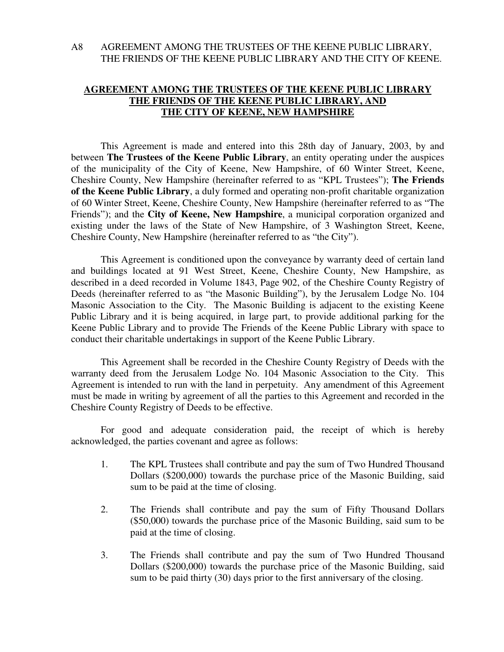# A8 AGREEMENT AMONG THE TRUSTEES OF THE KEENE PUBLIC LIBRARY, THE FRIENDS OF THE KEENE PUBLIC LIBRARY AND THE CITY OF KEENE.

# **AGREEMENT AMONG THE TRUSTEES OF THE KEENE PUBLIC LIBRARY THE FRIENDS OF THE KEENE PUBLIC LIBRARY, AND THE CITY OF KEENE, NEW HAMPSHIRE**

 This Agreement is made and entered into this 28th day of January, 2003, by and between **The Trustees of the Keene Public Library**, an entity operating under the auspices of the municipality of the City of Keene, New Hampshire, of 60 Winter Street, Keene, Cheshire County, New Hampshire (hereinafter referred to as "KPL Trustees"); **The Friends of the Keene Public Library**, a duly formed and operating non-profit charitable organization of 60 Winter Street, Keene, Cheshire County, New Hampshire (hereinafter referred to as "The Friends"); and the **City of Keene, New Hampshire**, a municipal corporation organized and existing under the laws of the State of New Hampshire, of 3 Washington Street, Keene, Cheshire County, New Hampshire (hereinafter referred to as "the City").

 This Agreement is conditioned upon the conveyance by warranty deed of certain land and buildings located at 91 West Street, Keene, Cheshire County, New Hampshire, as described in a deed recorded in Volume 1843, Page 902, of the Cheshire County Registry of Deeds (hereinafter referred to as "the Masonic Building"), by the Jerusalem Lodge No. 104 Masonic Association to the City. The Masonic Building is adjacent to the existing Keene Public Library and it is being acquired, in large part, to provide additional parking for the Keene Public Library and to provide The Friends of the Keene Public Library with space to conduct their charitable undertakings in support of the Keene Public Library.

 This Agreement shall be recorded in the Cheshire County Registry of Deeds with the warranty deed from the Jerusalem Lodge No. 104 Masonic Association to the City. This Agreement is intended to run with the land in perpetuity. Any amendment of this Agreement must be made in writing by agreement of all the parties to this Agreement and recorded in the Cheshire County Registry of Deeds to be effective.

 For good and adequate consideration paid, the receipt of which is hereby acknowledged, the parties covenant and agree as follows:

- 1. The KPL Trustees shall contribute and pay the sum of Two Hundred Thousand Dollars (\$200,000) towards the purchase price of the Masonic Building, said sum to be paid at the time of closing.
- 2. The Friends shall contribute and pay the sum of Fifty Thousand Dollars (\$50,000) towards the purchase price of the Masonic Building, said sum to be paid at the time of closing.
- 3. The Friends shall contribute and pay the sum of Two Hundred Thousand Dollars (\$200,000) towards the purchase price of the Masonic Building, said sum to be paid thirty (30) days prior to the first anniversary of the closing.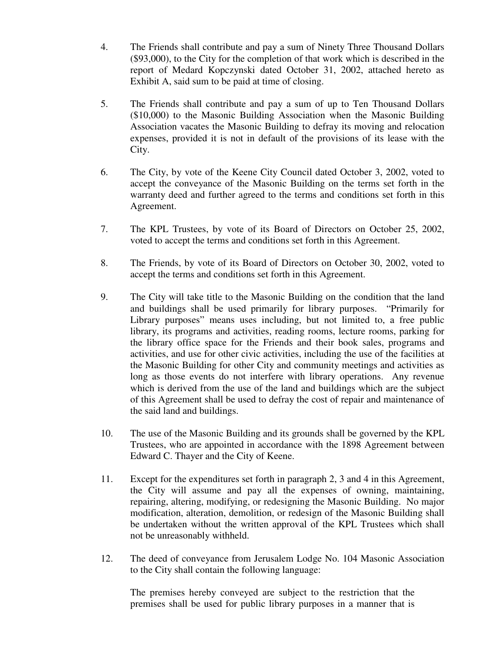- 4. The Friends shall contribute and pay a sum of Ninety Three Thousand Dollars (\$93,000), to the City for the completion of that work which is described in the report of Medard Kopczynski dated October 31, 2002, attached hereto as Exhibit A, said sum to be paid at time of closing.
- 5. The Friends shall contribute and pay a sum of up to Ten Thousand Dollars (\$10,000) to the Masonic Building Association when the Masonic Building Association vacates the Masonic Building to defray its moving and relocation expenses, provided it is not in default of the provisions of its lease with the City.
- 6. The City, by vote of the Keene City Council dated October 3, 2002, voted to accept the conveyance of the Masonic Building on the terms set forth in the warranty deed and further agreed to the terms and conditions set forth in this Agreement.
- 7. The KPL Trustees, by vote of its Board of Directors on October 25, 2002, voted to accept the terms and conditions set forth in this Agreement.
- 8. The Friends, by vote of its Board of Directors on October 30, 2002, voted to accept the terms and conditions set forth in this Agreement.
- 9. The City will take title to the Masonic Building on the condition that the land and buildings shall be used primarily for library purposes. "Primarily for Library purposes" means uses including, but not limited to, a free public library, its programs and activities, reading rooms, lecture rooms, parking for the library office space for the Friends and their book sales, programs and activities, and use for other civic activities, including the use of the facilities at the Masonic Building for other City and community meetings and activities as long as those events do not interfere with library operations. Any revenue which is derived from the use of the land and buildings which are the subject of this Agreement shall be used to defray the cost of repair and maintenance of the said land and buildings.
- 10. The use of the Masonic Building and its grounds shall be governed by the KPL Trustees, who are appointed in accordance with the 1898 Agreement between Edward C. Thayer and the City of Keene.
- 11. Except for the expenditures set forth in paragraph 2, 3 and 4 in this Agreement, the City will assume and pay all the expenses of owning, maintaining, repairing, altering, modifying, or redesigning the Masonic Building. No major modification, alteration, demolition, or redesign of the Masonic Building shall be undertaken without the written approval of the KPL Trustees which shall not be unreasonably withheld.
- 12. The deed of conveyance from Jerusalem Lodge No. 104 Masonic Association to the City shall contain the following language:

The premises hereby conveyed are subject to the restriction that the premises shall be used for public library purposes in a manner that is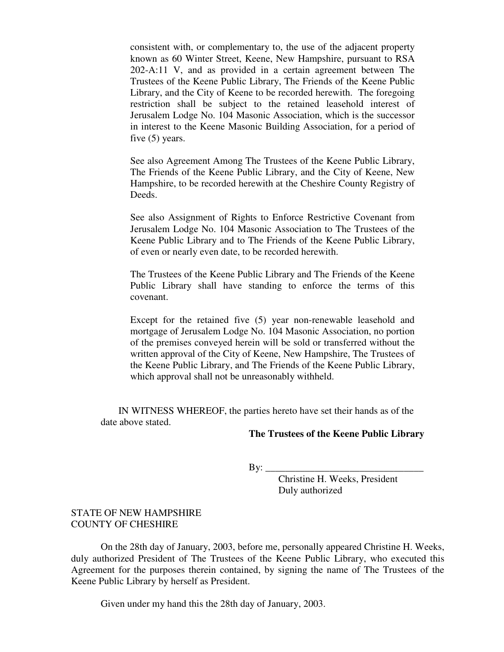consistent with, or complementary to, the use of the adjacent property known as 60 Winter Street, Keene, New Hampshire, pursuant to RSA 202-A:11 V, and as provided in a certain agreement between The Trustees of the Keene Public Library, The Friends of the Keene Public Library, and the City of Keene to be recorded herewith. The foregoing restriction shall be subject to the retained leasehold interest of Jerusalem Lodge No. 104 Masonic Association, which is the successor in interest to the Keene Masonic Building Association, for a period of five (5) years.

 See also Agreement Among The Trustees of the Keene Public Library, The Friends of the Keene Public Library, and the City of Keene, New Hampshire, to be recorded herewith at the Cheshire County Registry of Deeds.

 See also Assignment of Rights to Enforce Restrictive Covenant from Jerusalem Lodge No. 104 Masonic Association to The Trustees of the Keene Public Library and to The Friends of the Keene Public Library, of even or nearly even date, to be recorded herewith.

The Trustees of the Keene Public Library and The Friends of the Keene Public Library shall have standing to enforce the terms of this covenant.

Except for the retained five (5) year non-renewable leasehold and mortgage of Jerusalem Lodge No. 104 Masonic Association, no portion of the premises conveyed herein will be sold or transferred without the written approval of the City of Keene, New Hampshire, The Trustees of the Keene Public Library, and The Friends of the Keene Public Library, which approval shall not be unreasonably withheld.

 IN WITNESS WHEREOF, the parties hereto have set their hands as of the date above stated.

### **The Trustees of the Keene Public Library**

By: \_\_\_\_\_\_\_\_\_\_\_\_\_\_\_\_\_\_\_\_\_\_\_\_\_\_\_\_\_\_\_\_

 Christine H. Weeks, President Duly authorized

#### STATE OF NEW HAMPSHIRE COUNTY OF CHESHIRE

 On the 28th day of January, 2003, before me, personally appeared Christine H. Weeks, duly authorized President of The Trustees of the Keene Public Library, who executed this Agreement for the purposes therein contained, by signing the name of The Trustees of the Keene Public Library by herself as President.

Given under my hand this the 28th day of January, 2003.